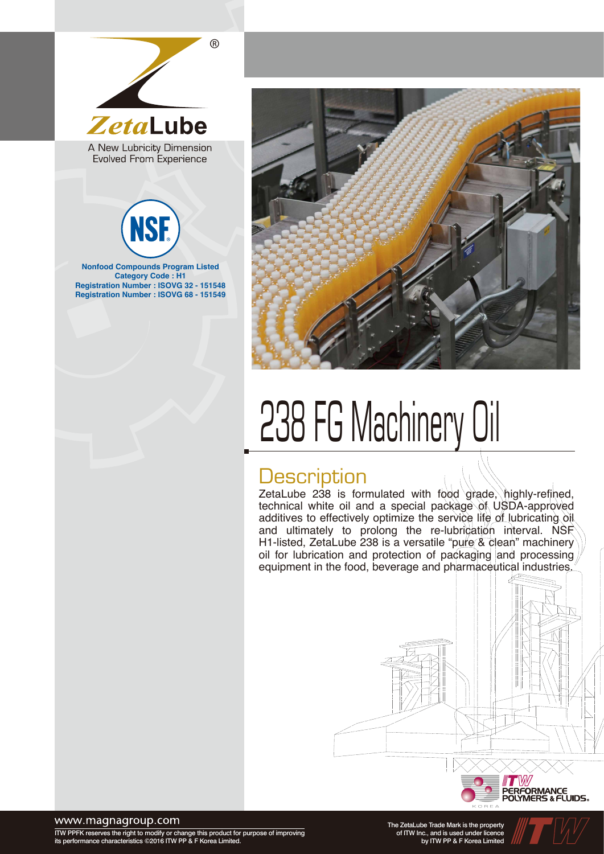

Evolved From Experience



**Registration Number : ISOVG 32 - 151548 Registration Number : ISOVG 68 - 151549**



# 238 FG Machinery Oil

#### **Description**

ZetaLube 238 is formulated with food grade, highly-refined, technical white oil and a special package of USDA-approved additives to effectively optimize the service life of lubricating oil and ultimately to prolong the re-lubrication interval. NSF H1-listed, ZetaLube 238 is a versatile "pure & clean" machinery oil for lubrication and protection of packaging and processing equipment in the food, beverage and pharmaceutical industries.



#### www.magnagroup.com

ITW PPFK reserves the right to modify or change this product for purpose of improving its performance characteristics ©2016 ITW PP & F Korea Limited.

The ZetaLube Trade Mark is the property of ITW Inc., and is used under licence by ITW PP & F Korea Limited